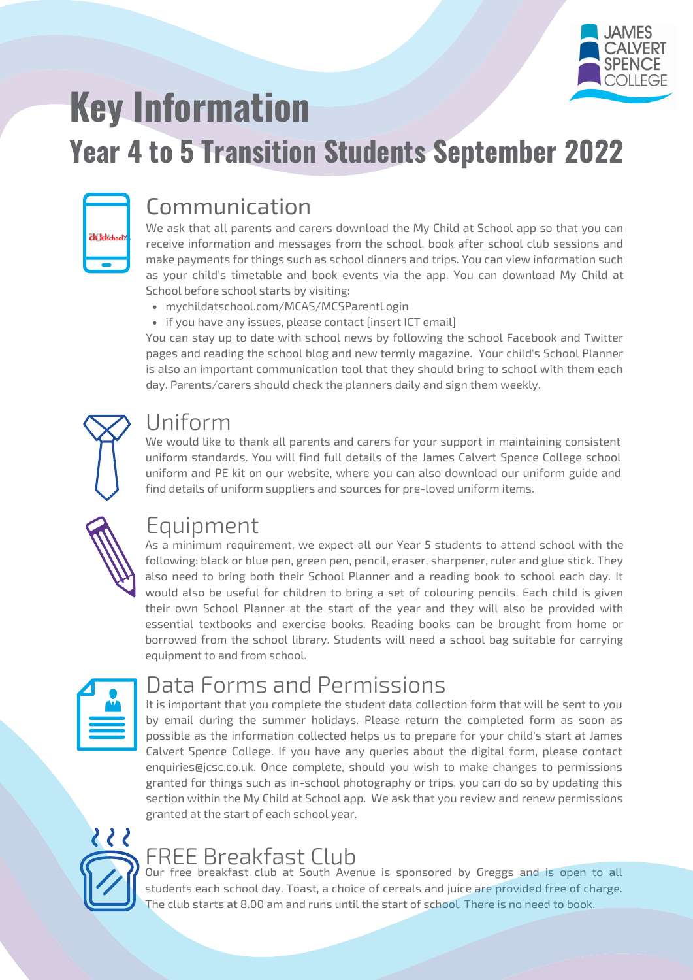

# **Key Information**

# **Year 4 to 5 Transition Students September 2022**

| <b>ch Idschool</b> |
|--------------------|
|                    |

### Communication

We ask that all parents and carers download the My Child at School app so that you can receive information and messages from the school, book after school club sessions and make payments for things such as school dinners and trips. You can view information such as your child's timetable and book events via the app. You can download My Child at School before school starts by visiting:

- mychildatschool.com/MCAS/MCSParentLogin
- if you have any issues, please contact [insert ICT email]

You can stay up to date with school news by following the school Facebook and Twitter pages and reading the school blog and new termly magazine. Your child's School Planner is also an important communication tool that they should bring to school with them each day. Parents/carers should check the planners daily and sign them weekly.



#### Uniform

We would like to thank all parents and carers for your support in maintaining consistent uniform standards. You will find full details of the James Calvert Spence College school uniform and PE kit on our website, where you can also download our uniform guide and find details of uniform suppliers and sources for pre-loved uniform items.



#### Equipment

As a minimum requirement, we expect all our Year 5 students to attend school with the following: black or blue pen, green pen, pencil, eraser, sharpener, ruler and glue stick. They also need to bring both their School Planner and a reading book to school each day. It would also be useful for children to bring a set of colouring pencils. Each child is given their own School Planner at the start of the year and they will also be provided with essential textbooks and exercise books. Reading books can be brought from home or borrowed from the school library. Students will need a school bag suitable for carrying equipment to and from school.

### Data Forms and Permissions

It is important that you complete the student data collection form that will be sent to you by email during the summer holidays. Please return the completed form as soon as possible as the information collected helps us to prepare for your child's start at James Calvert Spence College. If you have any queries about the digital form, please contact enquiries@jcsc.co.uk. Once complete, should you wish to make changes to permissions granted for things such as in-school photography or trips, you can do so by updating this section within the My Child at School app. We ask that you review and renew permissions granted at the start of each school year.



## FREE Breakfast Club

Our free breakfast club at South Avenue is sponsored by Greggs and is open to all students each school day. Toast, a choice of cereals and juice are provided free of charge. The club starts at 8.00 am and runs until the start of school. There is no need to book.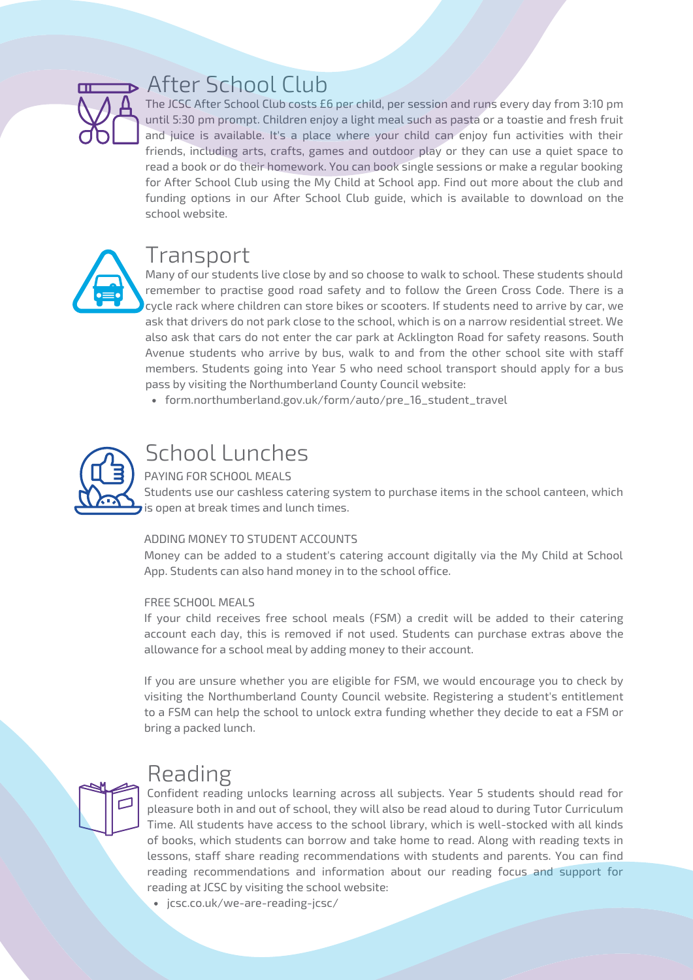

#### After School Club

The JCSC After School Club costs £6 per child, per session and runs every day from 3:10 pm until 5:30 pm prompt. Children enjoy a light meal such as pasta or a toastie and fresh fruit and juice is available. It's a place where your child can enjoy fun activities with their friends, including arts, crafts, games and outdoor play or they can use a quiet space to read a book or do their homework. You can book single sessions or make a regular booking for After School Club using the My Child at School app. Find out more about the club and funding options in our After School Club guide, which is available to download on the school website.



#### Transport

Many of our students live close by and so choose to walk to school. These students should remember to practise good road safety and to follow the Green Cross Code. There is a cycle rack where children can store bikes or scooters. If students need to arrive by car, we ask that drivers do not park close to the school, which is on a narrow residential street. We also ask that cars do not enter the car park at Acklington Road for safety reasons. South Avenue students who arrive by bus, walk to and from the other school site with staff members. Students going into Year 5 who need school transport should apply for a bus pass by visiting the Northumberland County Council website:

[form.northumberland.gov.uk/form/auto/pre\\_16\\_student\\_travel](https://form.northumberland.gov.uk/form/auto/pre_16_student_travel)



#### School Lunches

#### PAYING FOR SCHOOL MEALS

Students use our cashless catering system to purchase items in the school canteen, which is open at break times and lunch times.

#### ADDING MONEY TO STUDENT ACCOUNTS

Money can be added to a student's catering account digitally via the My Child at School App. Students can also hand money in to the school office.

#### FREE SCHOOL MEALS

If your child receives free school meals (FSM) a credit will be added to their catering account each day, this is removed if not used. Students can purchase extras above the allowance for a school meal by adding money to their account.

If you are unsure whether you are eligible for FSM, we would encourage you to check by visiting the Northumberland County Council website. Registering a student's entitlement to a FSM can help the school to unlock extra funding whether they decide to eat a FSM or bring a packed lunch.

#### Reading

Confident reading unlocks learning across all subjects. Year 5 students should read for

pleasure both in and out of school, they will also be read aloud to during Tutor Curriculum Time. All students have access to the school library, which is well-stocked with all kinds of books, which students can borrow and take home to read. Along with reading texts in lessons, staff share reading recommendations with students and parents. You can find reading recommendations and information about our reading focus and support for reading at JCSC by visiting the school website:

jcsc.co.uk/we-are-reading-jcsc/